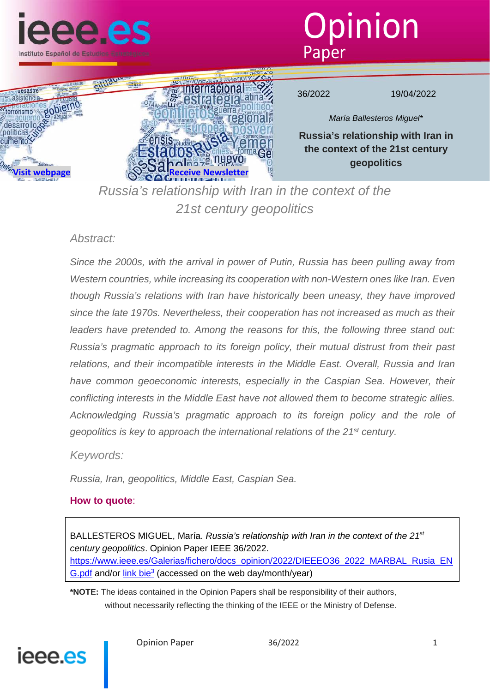





36/2022 19/04/2022

*María Ballesteros Miguel\**

**Russia's relationship with Iran in the context of the 21st century geopolitics**

*Russia's relationship with Iran in the context of the 21st century geopolitics*

## *Abstract:*

*Since the 2000s, with the arrival in power of Putin, Russia has been pulling away from Western countries, while increasing its cooperation with non-Western ones like Iran. Even though Russia's relations with Iran have historically been uneasy, they have improved since the late 1970s. Nevertheless, their cooperation has not increased as much as their*  leaders have pretended to. Among the reasons for this, the following three stand out: *Russia's pragmatic approach to its foreign policy, their mutual distrust from their past relations, and their incompatible interests in the Middle East. Overall, Russia and Iran*  have common geoeconomic interests, especially in the Caspian Sea. However, their *conflicting interests in the Middle East have not allowed them to become strategic allies. Acknowledging Russia's pragmatic approach to its foreign policy and the role of geopolitics is key to approach the international relations of the 21st century.*

*Keywords:*

*Russia, Iran, geopolitics, Middle East, Caspian Sea.*

## **How to quote**:

BALLESTEROS MIGUEL, María. *Russia's relationship with Iran in the context of the 21st century geopolitics*. Opinion Paper IEEE 36/2022. https://www.ieee.es/Galerias/fichero/docs\_opinion/2022/DIEEEO36\_2022\_MARBAL\_Rusia\_EN G.pdf and/or link bie<sup>3</sup> (accessed on the web day/month/year)

**\*NOTE:** The ideas contained in the Opinion Papers shall be responsibility of their authors, without necessarily reflecting the thinking of the IEEE or the Ministry of Defense.

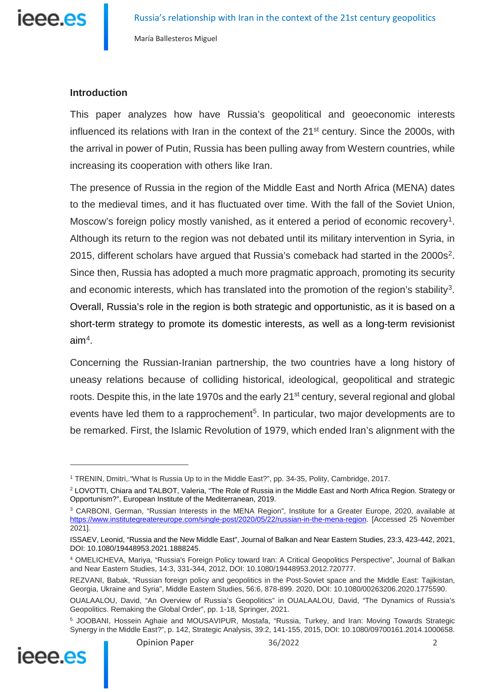

## **Introduction**

This paper analyzes how have Russia's geopolitical and geoeconomic interests influenced its relations with Iran in the context of the 21<sup>st</sup> century. Since the 2000s, with the arrival in power of Putin, Russia has been pulling away from Western countries, while increasing its cooperation with others like Iran.

The presence of Russia in the region of the Middle East and North Africa (MENA) dates to the medieval times, and it has fluctuated over time. With the fall of the Soviet Union, Moscow's foreign policy mostly vanished, as it entered a period of economic recovery<sup>1</sup>. Although its return to the region was not debated until its military intervention in Syria, in 2015, different scholars have argued that Russia's comeback had started in the 2000s<sup>2</sup>. Since then, Russia has adopted a much more pragmatic approach, promoting its security and economic interests, which has translated into the promotion of the region's stability<sup>3</sup>. Overall, Russia's role in the region is both strategic and opportunistic, as it is based on a short-term strategy to promote its domestic interests, as well as a long-term revisionist  $aim<sup>4</sup>$  $aim<sup>4</sup>$  $aim<sup>4</sup>$ .

Concerning the Russian-Iranian partnership, the two countries have a long history of uneasy relations because of colliding historical, ideological, geopolitical and strategic roots. Despite this, in the late 1970s and the early 21<sup>st</sup> century, several regional and global events have led them to a rapprochement<sup>[5](#page-1-4)</sup>. In particular, two major developments are to be remarked. First, the Islamic Revolution of 1979, which ended Iran's alignment with the

<span id="page-1-4"></span><span id="page-1-3"></span><sup>&</sup>lt;sup>5</sup> JOOBANI, Hossein Aghaie and MOUSAVIPUR, Mostafa, "Russia, Turkey, and Iran: Moving Towards Strategic Synergy in the Middle East?", p. 142, Strategic Analysis, 39:2, 141-155, 2015, DOI: 10.1080/09700161.2014.1000658.



<span id="page-1-0"></span><sup>1</sup> TRENIN, Dmitri,."What Is Russia Up to in the Middle East?", pp. 34-35, Polity, Cambridge, 2017.

<span id="page-1-1"></span><sup>2</sup> LOVOTTI, Chiara and TALBOT, Valeria, "The Role of Russia in the Middle East and North Africa Region. Strategy or Opportunism?", European Institute of the Mediterranean, 2019.

<span id="page-1-2"></span><sup>3</sup> CARBONI, German, "Russian Interests in the MENA Region", Institute for a Greater Europe, 2020, available at [https://www.institutegreatereurope.com/single-post/2020/05/22/russian-in-the-mena-region.](https://www.institutegreatereurope.com/single-post/2020/05/22/russian-in-the-mena-region) [Accessed 25 November 2021].

ISSAEV, Leonid, "Russia and the New Middle East", Journal of Balkan and Near Eastern Studies, 23:3, 423-442, 2021, DOI: 10.1080/19448953.2021.1888245.

<sup>4</sup> OMELICHEVA, Mariya, "Russia's Foreign Policy toward Iran: A Critical Geopolitics Perspective", Journal of Balkan and Near Eastern Studies, 14:3, 331-344, 2012, DOI: 10.1080/19448953.2012.720777.

REZVANI, Babak, "Russian foreign policy and geopolitics in the Post-Soviet space and the Middle East: Tajikistan, Georgia, Ukraine and Syria", Middle Eastern Studies, 56:6, 878-899. 2020, DOI: 10.1080/00263206.2020.1775590.

OUALAALOU, David, "An Overview of Russia's Geopolitics" in OUALAALOU, David, "The Dynamics of Russia's Geopolitics. Remaking the Global Order", pp. 1-18, Springer, 2021.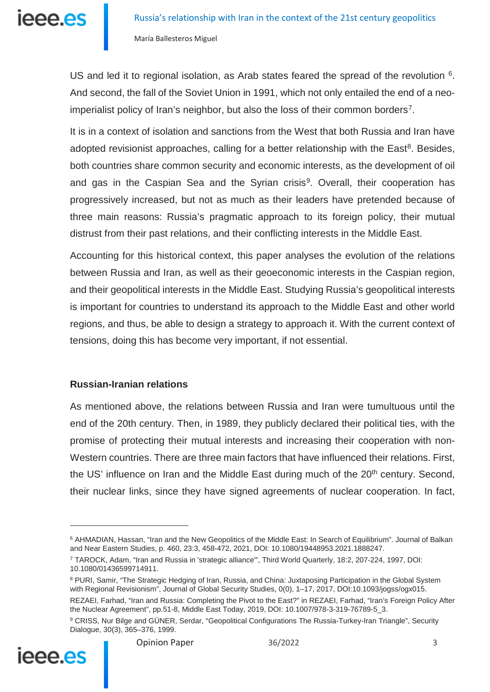US and led it to regional isolation, as Arab states feared the spread of the revolution <sup>6</sup>. And second, the fall of the Soviet Union in 1991, which not only entailed the end of a neoimperialist policy of Iran's neighbor, but also the loss of their common borders<sup>7</sup>.

It is in a context of isolation and sanctions from the West that both Russia and Iran have adopted revisionist approaches, calling for a better relationship with the East<sup>8</sup>. Besides, both countries share common security and economic interests, as the development of oil and gas in the Caspian Sea and the Syrian crisis<sup>9</sup>. Overall, their cooperation has progressively increased, but not as much as their leaders have pretended because of three main reasons: Russia's pragmatic approach to its foreign policy, their mutual distrust from their past relations, and their conflicting interests in the Middle East.

Accounting for this historical context, this paper analyses the evolution of the relations between Russia and Iran, as well as their geoeconomic interests in the Caspian region, and their geopolitical interests in the Middle East. Studying Russia's geopolitical interests is important for countries to understand its approach to the Middle East and other world regions, and thus, be able to design a strategy to approach it. With the current context of tensions, doing this has become very important, if not essential.

## **Russian-Iranian relations**

As mentioned above, the relations between Russia and Iran were tumultuous until the end of the 20th century. Then, in 1989, they publicly declared their political ties, with the promise of protecting their mutual interests and increasing their cooperation with non-Western countries. There are three main factors that have influenced their relations. First, the US' influence on Iran and the Middle East during much of the  $20<sup>th</sup>$  century. Second, their nuclear links, since they have signed agreements of nuclear cooperation. In fact,

<span id="page-2-3"></span><span id="page-2-2"></span><span id="page-2-1"></span><sup>9</sup> CRISS, Nur Bilge and GÜNER, Serdar, "Geopolitical Configurations The Russia-Turkey-Iran Triangle", Security Dialogue, 30(3), 365–376, 1999.



<span id="page-2-0"></span><sup>6</sup> AHMADIAN, Hassan, "Iran and the New Geopolitics of the Middle East: In Search of Equilibrium". Journal of Balkan and Near Eastern Studies, p. 460, 23:3, 458-472, 2021, DOI: 10.1080/19448953.2021.1888247.

<sup>7</sup> TAROCK, Adam, "Iran and Russia in 'strategic alliance'", Third World Quarterly, 18:2, 207-224, 1997, DOI: 10.1080/01436599714911.

<sup>8</sup> PURI, Samir, "The Strategic Hedging of Iran, Russia, and China: Juxtaposing Participation in the Global System with Regional Revisionism", Journal of Global Security Studies, 0(0), 1–17, 2017, DOI:10.1093/jogss/ogx015.

REZAEI, Farhad, "Iran and Russia: Completing the Pivot to the East?" in REZAEI, Farhad, "Iran's Foreign Policy After the Nuclear Agreement", pp.51-8, Middle East Today, 2019, DOI: 10.1007/978-3-319-76789-5\_3.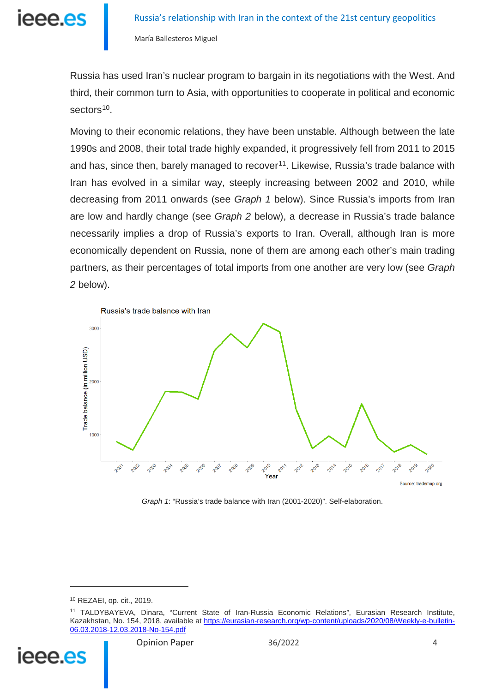ieee.es

María Ballesteros Miguel

Russia has used Iran's nuclear program to bargain in its negotiations with the West. And third, their common turn to Asia, with opportunities to cooperate in political and economic sectors<sup>[10](#page-3-0)</sup>.

Moving to their economic relations, they have been unstable. Although between the late 1990s and 2008, their total trade highly expanded, it progressively fell from 2011 to 2015 and has, since then, barely managed to recover<sup>11</sup>. Likewise, Russia's trade balance with Iran has evolved in a similar way, steeply increasing between 2002 and 2010, while decreasing from 2011 onwards (see *Graph 1* below). Since Russia's imports from Iran are low and hardly change (see *Graph 2* below), a decrease in Russia's trade balance necessarily implies a drop of Russia's exports to Iran. Overall, although Iran is more economically dependent on Russia, none of them are among each other's main trading partners, as their percentages of total imports from one another are very low (see *Graph 2* below).



*Graph 1*: "Russia's trade balance with Iran (2001-2020)". Self-elaboration.

<span id="page-3-1"></span><span id="page-3-0"></span><sup>11</sup> TALDYBAYEVA, Dinara, "Current State of Iran-Russia Economic Relations", Eurasian Research Institute, Kazakhstan, No. 154, 2018, available a[t https://eurasian-research.org/wp-content/uploads/2020/08/Weekly-e-bulletin-](https://eurasian-research.org/wp-content/uploads/2020/08/Weekly-e-bulletin-06.03.2018-12.03.2018-No-154.pdf)[06.03.2018-12.03.2018-No-154.pdf](https://eurasian-research.org/wp-content/uploads/2020/08/Weekly-e-bulletin-06.03.2018-12.03.2018-No-154.pdf)



<u>.</u>

<sup>10</sup> REZAEI, op. cit., 2019.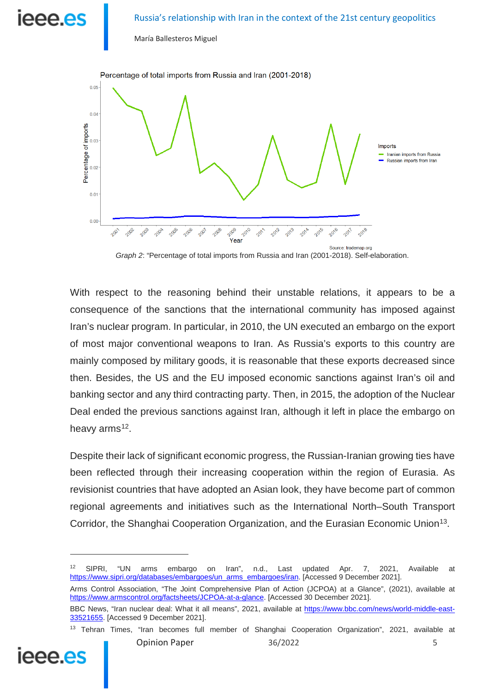# leee.es

#### Russia's relationship with Iran in the context of the 21st century geopolitics

María Ballesteros Miguel



*Graph 2*: "Percentage of total imports from Russia and Iran (2001-2018). Self-elaboration.

With respect to the reasoning behind their unstable relations, it appears to be a consequence of the sanctions that the international community has imposed against Iran's nuclear program. In particular, in 2010, the UN executed an embargo on the export of most major conventional weapons to Iran. As Russia's exports to this country are mainly composed by military goods, it is reasonable that these exports decreased since then. Besides, the US and the EU imposed economic sanctions against Iran's oil and banking sector and any third contracting party. Then, in 2015, the adoption of the Nuclear Deal ended the previous sanctions against Iran, although it left in place the embargo on heavy arms $12$ .

Despite their lack of significant economic progress, the Russian-Iranian growing ties have been reflected through their increasing cooperation within the region of Eurasia. As revisionist countries that have adopted an Asian look, they have become part of common regional agreements and initiatives such as the International North–South Transport Corridor, the Shanghai Cooperation Organization, and the Eurasian Economic Union<sup>13</sup>.

<span id="page-4-0"></span><sup>12</sup> SIPRI, "UN arms embargo on Iran", n.d., Last updated Apr. 7, 2021, Available at [https://www.sipri.org/databases/embargoes/un\\_arms\\_embargoes/iran.](https://www.sipri.org/databases/embargoes/un_arms_embargoes/iran) [Accessed 9 December 2021].

Arms Control Association, "The Joint Comprehensive Plan of Action (JCPOA) at a Glance", (2021), available at [https://www.armscontrol.org/factsheets/JCPOA-at-a-glance.](https://www.armscontrol.org/factsheets/JCPOA-at-a-glance) [Accessed 30 December 2021].

-

<span id="page-4-1"></span>IAAA AS

BBC News, "Iran nuclear deal: What it all means", 2021, available at [https://www.bbc.com/news/world-middle-east-](https://www.bbc.com/news/world-middle-east-33521655)[33521655.](https://www.bbc.com/news/world-middle-east-33521655) [Accessed 9 December 2021].

<sup>&</sup>lt;sup>13</sup> Tehran Times, "Iran becomes full member of Shanghai Cooperation Organization", 2021, available at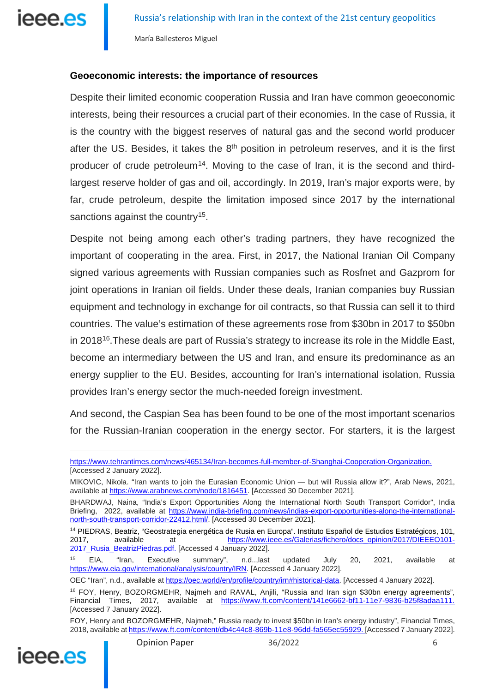

#### **Geoeconomic interests: the importance of resources**

Despite their limited economic cooperation Russia and Iran have common geoeconomic interests, being their resources a crucial part of their economies. In the case of Russia, it is the country with the biggest reserves of natural gas and the second world producer after the US. Besides, it takes the  $8<sup>th</sup>$  position in petroleum reserves, and it is the first producer of crude petroleum<sup>14</sup>. Moving to the case of Iran, it is the second and thirdlargest reserve holder of gas and oil, accordingly. In 2019, Iran's major exports were, by far, crude petroleum, despite the limitation imposed since 2017 by the international sanctions against the country<sup>15</sup>.

Despite not being among each other's trading partners, they have recognized the important of cooperating in the area. First, in 2017, the National Iranian Oil Company signed various agreements with Russian companies such as Rosfnet and Gazprom for joint operations in Iranian oil fields. Under these deals, Iranian companies buy Russian equipment and technology in exchange for oil contracts, so that Russia can sell it to third countries. The value's estimation of these agreements rose from \$30bn in 2017 to \$50bn in 2018<sup>[16](#page-5-2)</sup>. These deals are part of Russia's strategy to increase its role in the Middle East, become an intermediary between the US and Iran, and ensure its predominance as an energy supplier to the EU. Besides, accounting for Iran's international isolation, Russia provides Iran's energy sector the much-needed foreign investment.

And second, the Caspian Sea has been found to be one of the most important scenarios for the Russian-Iranian cooperation in the energy sector. For starters, it is the largest

<span id="page-5-2"></span><span id="page-5-1"></span>FOY, Henry and BOZORGMEHR, Najmeh," Russia ready to invest \$50bn in Iran's energy industry", Financial Times, 2018, available a[t https://www.ft.com/content/db4c44c8-869b-11e8-96dd-fa565ec55929.](https://www.ft.com/content/db4c44c8-869b-11e8-96dd-fa565ec55929) [Accessed 7 January 2022].



[https://www.tehrantimes.com/news/465134/Iran-becomes-full-member-of-Shanghai-Cooperation-Organization.](https://www.tehrantimes.com/news/465134/Iran-becomes-full-member-of-Shanghai-Cooperation-Organization) [Accessed 2 January 2022].

MIKOVIC, Nikola. "Iran wants to join the Eurasian Economic Union — but will Russia allow it?", Arab News, 2021, available at [https://www.arabnews.com/node/1816451.](https://www.arabnews.com/node/1816451) [Accessed 30 December 2021].

BHARDWAJ, Naina, "India's Export Opportunities Along the International North South Transport Corridor", India Briefing, 2022, available at [https://www.india-briefing.com/news/indias-export-opportunities-along-the-international](https://www.india-briefing.com/news/indias-export-opportunities-along-the-international-north-south-transport-corridor-22412.html/)[north-south-transport-corridor-22412.html/.](https://www.india-briefing.com/news/indias-export-opportunities-along-the-international-north-south-transport-corridor-22412.html/) [Accessed 30 December 2021].

<span id="page-5-0"></span><sup>&</sup>lt;sup>14</sup> PIEDRAS, Beatriz, "Geostrategia energética de Rusia en Europa". Instituto Español de Estudios Estratégicos, 101,<br>2017, available at https://www.ieee.es/Galerias/fichero/docs\_opinion/2017/DIEEEO101-2017, available at [https://www.ieee.es/Galerias/fichero/docs\\_opinion/2017/DIEEEO101-](https://www.ieee.es/Galerias/fichero/docs_opinion/2017/DIEEEO101-2017_Rusia_BeatrizPiedras.pdf) [2017\\_Rusia\\_BeatrizPiedras.pdf.](https://www.ieee.es/Galerias/fichero/docs_opinion/2017/DIEEEO101-2017_Rusia_BeatrizPiedras.pdf) [Accessed 4 January 2022].

<sup>15</sup> EIA, "Iran, Executive summary", n.d..,last updated July 20, 2021, available at [https://www.eia.gov/international/analysis/country/IRN.](https://www.eia.gov/international/analysis/country/IRN) [Accessed 4 January 2022].

OEC "Iran", n.d., available a[t https://oec.world/en/profile/country/irn#historical-data.](https://oec.world/en/profile/country/irn#historical-data) [Accessed 4 January 2022].

<sup>&</sup>lt;sup>16</sup> FOY, Henry, BOZORGMEHR, Najmeh and RAVAL, Anjili, "Russia and Iran sign \$30bn energy agreements", Financial Times, 2017, available at [https://www.ft.com/content/141e6662-bf11-11e7-9836-b25f8adaa111.](https://www.ft.com/content/141e6662-bf11-11e7-9836-b25f8adaa111) [Accessed 7 January 2022].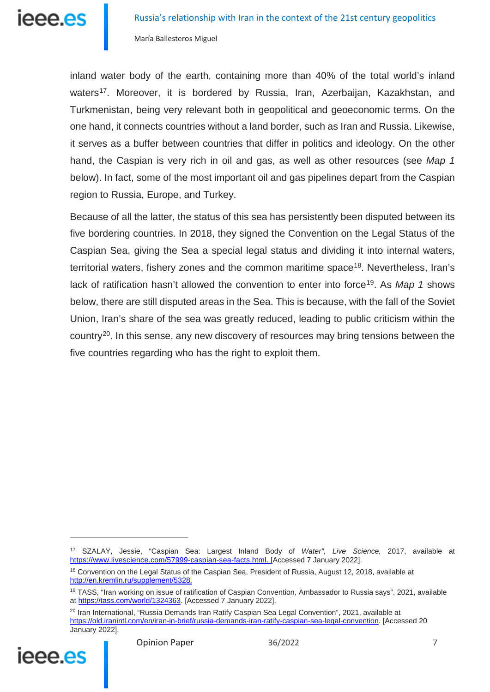inland water body of the earth, containing more than 40% of the total world's inland waters<sup>17</sup>. Moreover, it is bordered by Russia, Iran, Azerbaijan, Kazakhstan, and Turkmenistan, being very relevant both in geopolitical and geoeconomic terms. On the one hand, it connects countries without a land border, such as Iran and Russia. Likewise, it serves as a buffer between countries that differ in politics and ideology. On the other hand, the Caspian is very rich in oil and gas, as well as other resources (see *Map 1* below). In fact, some of the most important oil and gas pipelines depart from the Caspian region to Russia, Europe, and Turkey.

Because of all the latter, the status of this sea has persistently been disputed between its five bordering countries. In 2018, they signed the Convention on the Legal Status of the Caspian Sea, giving the Sea a special legal status and dividing it into internal waters, territorial waters, fishery zones and the common maritime space<sup>[18](#page-6-1)</sup>. Nevertheless, Iran's lack of ratification hasn't allowed the convention to enter into force<sup>[19](#page-6-2)</sup>. As *Map 1* shows below, there are still disputed areas in the Sea. This is because, with the fall of the Soviet Union, Iran's share of the sea was greatly reduced, leading to public criticism within the country<sup>20</sup>. In this sense, any new discovery of resources may bring tensions between the five countries regarding who has the right to exploit them.

<span id="page-6-3"></span><span id="page-6-2"></span><span id="page-6-1"></span><span id="page-6-0"></span><sup>&</sup>lt;sup>20</sup> Iran International, "Russia Demands Iran Ratify Caspian Sea Legal Convention", 2021, available at [https://old.iranintl.com/en/iran-in-brief/russia-demands-iran-ratify-caspian-sea-legal-convention.](https://old.iranintl.com/en/iran-in-brief/russia-demands-iran-ratify-caspian-sea-legal-convention) [Accessed 20 January 2022].



<sup>17</sup> SZALAY, Jessie, "Caspian Sea: Largest Inland Body of *Water", Live Science,* 2017, available at [https://www.livescience.com/57999-caspian-sea-facts.html.](https://www.livescience.com/57999-caspian-sea-facts.html) [Accessed 7 January 2022].

<sup>&</sup>lt;sup>18</sup> Convention on the Legal Status of the Caspian Sea, President of Russia, August 12, 2018, available at [http://en.kremlin.ru/supplement/5328.](http://en.kremlin.ru/supplement/5328)

<sup>&</sup>lt;sup>19</sup> TASS, "Iran working on issue of ratification of Caspian Convention, Ambassador to Russia says", 2021, available at [https://tass.com/world/1324363.](https://tass.com/world/1324363) [Accessed 7 January 2022].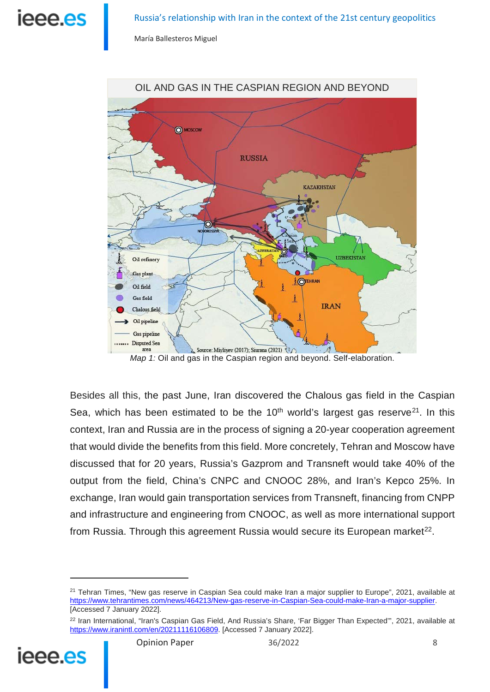ieee.es

María Ballesteros Miguel



*Map 1:* Oil and gas in the Caspian region and beyond. Self-elaboration.

Besides all this, the past June, Iran discovered the Chalous gas field in the Caspian Sea, which has been estimated to be the  $10<sup>th</sup>$  world's largest gas reserve<sup>21</sup>. In this context, Iran and Russia are in the process of signing a 20-year cooperation agreement that would divide the benefits from this field. More concretely, Tehran and Moscow have discussed that for 20 years, Russia's Gazprom and Transneft would take 40% of the output from the field, China's CNPC and CNOOC 28%, and Iran's Kepco 25%. In exchange, Iran would gain transportation services from Transneft, financing from CNPP and infrastructure and engineering from CNOOC, as well as more international support from Russia. Through this agreement Russia would secure its European market $^{22}$ .

<span id="page-7-1"></span><span id="page-7-0"></span><sup>&</sup>lt;sup>22</sup> Iran International, "Iran's Caspian Gas Field, And Russia's Share, 'Far Bigger Than Expected"", 2021, available at [https://www.iranintl.com/en/20211116106809.](https://www.iranintl.com/en/20211116106809) [Accessed 7 January 2022].



<sup>&</sup>lt;sup>21</sup> Tehran Times, "New gas reserve in Caspian Sea could make Iran a major supplier to Europe", 2021, available at [https://www.tehrantimes.com/news/464213/New-gas-reserve-in-Caspian-Sea-could-make-Iran-a-major-supplier.](https://www.tehrantimes.com/news/464213/New-gas-reserve-in-Caspian-Sea-could-make-Iran-a-major-supplier) [Accessed 7 January 2022].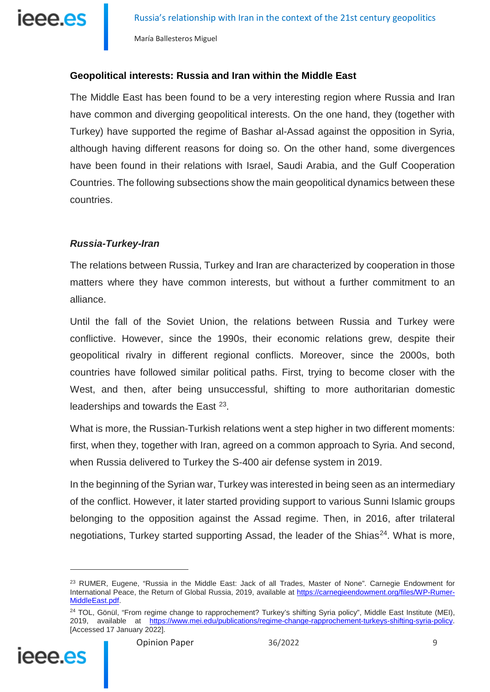

### **Geopolitical interests: Russia and Iran within the Middle East**

The Middle East has been found to be a very interesting region where Russia and Iran have common and diverging geopolitical interests. On the one hand, they (together with Turkey) have supported the regime of Bashar al-Assad against the opposition in Syria, although having different reasons for doing so. On the other hand, some divergences have been found in their relations with Israel, Saudi Arabia, and the Gulf Cooperation Countries. The following subsections show the main geopolitical dynamics between these countries.

## *Russia-Turkey-Iran*

The relations between Russia, Turkey and Iran are characterized by cooperation in those matters where they have common interests, but without a further commitment to an alliance.

Until the fall of the Soviet Union, the relations between Russia and Turkey were conflictive. However, since the 1990s, their economic relations grew, despite their geopolitical rivalry in different regional conflicts. Moreover, since the 2000s, both countries have followed similar political paths. First, trying to become closer with the West, and then, after being unsuccessful, shifting to more authoritarian domestic leaderships and towards the East <sup>[23](#page-8-0)</sup>.

What is more, the Russian-Turkish relations went a step higher in two different moments: first, when they, together with Iran, agreed on a common approach to Syria. And second, when Russia delivered to Turkey the S-400 air defense system in 2019.

In the beginning of the Syrian war, Turkey was interested in being seen as an intermediary of the conflict. However, it later started providing support to various Sunni Islamic groups belonging to the opposition against the Assad regime. Then, in 2016, after trilateral negotiations, Turkey started supporting Assad, the leader of the Shias<sup>24</sup>. What is more,

<span id="page-8-1"></span><span id="page-8-0"></span><sup>&</sup>lt;sup>24</sup> TOL, Gönül, "From regime change to rapprochement? Turkey's shifting Syria policy", Middle East Institute (MEI), 2019, available at [https://www.mei.edu/publications/regime-change-rapprochement-turkeys-shifting-syria-policy.](https://www.mei.edu/publications/regime-change-rapprochement-turkeys-shifting-syria-policy)  [Accessed 17 January 2022].



<sup>&</sup>lt;sup>23</sup> RUMER, Eugene, "Russia in the Middle East: Jack of all Trades, Master of None". Carnegie Endowment for International Peace, the Return of Global Russia, 2019, available at [https://carnegieendowment.org/files/WP-Rumer-](https://carnegieendowment.org/files/WP-Rumer-MiddleEast.pdf)[MiddleEast.pdf.](https://carnegieendowment.org/files/WP-Rumer-MiddleEast.pdf)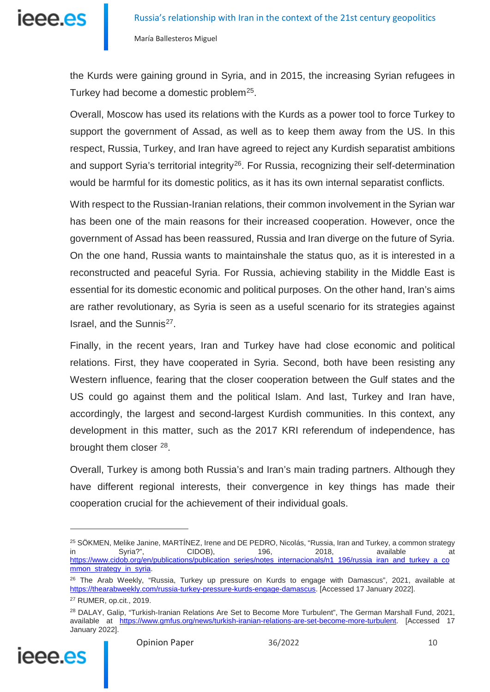the Kurds were gaining ground in Syria, and in 2015, the increasing Syrian refugees in Turkey had become a domestic problem<sup>25</sup>.

Overall, Moscow has used its relations with the Kurds as a power tool to force Turkey to support the government of Assad, as well as to keep them away from the US. In this respect, Russia, Turkey, and Iran have agreed to reject any Kurdish separatist ambitions and support Syria's territorial integrity<sup>26</sup>. For Russia, recognizing their self-determination would be harmful for its domestic politics, as it has its own internal separatist conflicts.

With respect to the Russian-Iranian relations, their common involvement in the Syrian war has been one of the main reasons for their increased cooperation. However, once the government of Assad has been reassured, Russia and Iran diverge on the future of Syria. On the one hand, Russia wants to maintainshale the status quo, as it is interested in a reconstructed and peaceful Syria. For Russia, achieving stability in the Middle East is essential for its domestic economic and political purposes. On the other hand, Iran's aims are rather revolutionary, as Syria is seen as a useful scenario for its strategies against Israel, and the Sunnis<sup>27</sup>.

Finally, in the recent years, Iran and Turkey have had close economic and political relations. First, they have cooperated in Syria. Second, both have been resisting any Western influence, fearing that the closer cooperation between the Gulf states and the US could go against them and the political Islam. And last, Turkey and Iran have, accordingly, the largest and second-largest Kurdish communities. In this context, any development in this matter, such as the 2017 KRI referendum of independence, has brought them closer <sup>28</sup>.

Overall, Turkey is among both Russia's and Iran's main trading partners. Although they have different regional interests, their convergence in key things has made their cooperation crucial for the achievement of their individual goals.

<span id="page-9-3"></span><span id="page-9-2"></span><span id="page-9-1"></span><span id="page-9-0"></span><sup>&</sup>lt;sup>28</sup> DALAY, Galip, "Turkish-Iranian Relations Are Set to Become More Turbulent", The German Marshall Fund, 2021, available at [https://www.gmfus.org/news/turkish-iranian-relations-are-set-become-more-turbulent.](https://www.gmfus.org/news/turkish-iranian-relations-are-set-become-more-turbulent) [Accessed 17 January 2022].



<sup>&</sup>lt;sup>25</sup> SÖKMEN, Melike Janine, MARTÍNEZ, Irene and DE PEDRO, Nicolás, "Russia, Iran and Turkey, a common strategy<br>in 2018, available at in Syria?", CIDOB), 196, 2018, available at [https://www.cidob.org/en/publications/publication\\_series/notes\\_internacionals/n1\\_196/russia\\_iran\\_and\\_turkey\\_a\\_co](https://www.cidob.org/en/publications/publication_series/notes_internacionals/n1_196/russia_iran_and_turkey_a_common_strategy_in_syria) [mmon\\_strategy\\_in\\_syria.](https://www.cidob.org/en/publications/publication_series/notes_internacionals/n1_196/russia_iran_and_turkey_a_common_strategy_in_syria)

<sup>&</sup>lt;sup>26</sup> The Arab Weekly, "Russia, Turkey up pressure on Kurds to engage with Damascus", 2021, available at [https://thearabweekly.com/russia-turkey-pressure-kurds-engage-damascus.](https://thearabweekly.com/russia-turkey-pressure-kurds-engage-damascus) [Accessed 17 January 2022].

<sup>27</sup> RUMER, op.cit., 2019.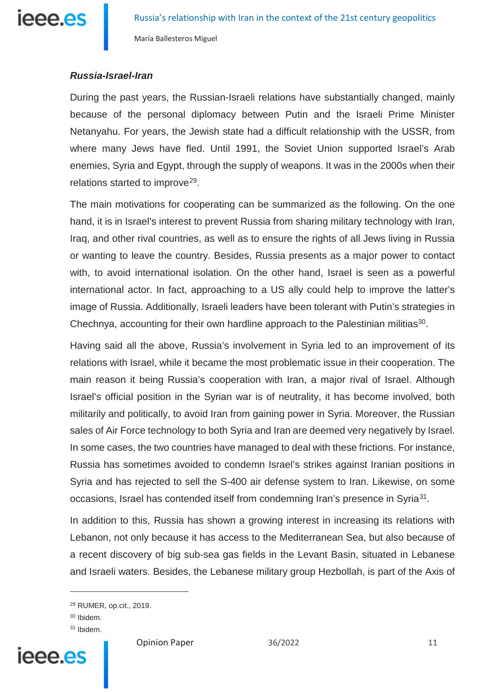

## *Russia-Israel-Iran*

During the past years, the Russian-Israeli relations have substantially changed, mainly because of the personal diplomacy between Putin and the Israeli Prime Minister Netanyahu. For years, the Jewish state had a difficult relationship with the USSR, from where many Jews have fled. Until 1991, the Soviet Union supported Israel's Arab enemies, Syria and Egypt, through the supply of weapons. It was in the 2000s when their relations started to improve<sup>[29](#page-10-0)</sup>.

The main motivations for cooperating can be summarized as the following. On the one hand, it is in Israel's interest to prevent Russia from sharing military technology with Iran, Iraq, and other rival countries, as well as to ensure the rights of all Jews living in Russia or wanting to leave the country. Besides, Russia presents as a major power to contact with, to avoid international isolation. On the other hand, Israel is seen as a powerful international actor. In fact, approaching to a US ally could help to improve the latter's image of Russia. Additionally, Israeli leaders have been tolerant with Putin's strategies in Chechnya, accounting for their own hardline approach to the Palestinian militias<sup>30</sup>.

Having said all the above, Russia's involvement in Syria led to an improvement of its relations with Israel, while it became the most problematic issue in their cooperation. The main reason it being Russia's cooperation with Iran, a major rival of Israel. Although Israel's official position in the Syrian war is of neutrality, it has become involved, both militarily and politically, to avoid Iran from gaining power in Syria. Moreover, the Russian sales of Air Force technology to both Syria and Iran are deemed very negatively by Israel. In some cases, the two countries have managed to deal with these frictions. For instance, Russia has sometimes avoided to condemn Israel's strikes against Iranian positions in Syria and has rejected to sell the S-400 air defense system to Iran. Likewise, on some occasions, Israel has contended itself from condemning Iran's presence in Syria<sup>31</sup>.

In addition to this, Russia has shown a growing interest in increasing its relations with Lebanon, not only because it has access to the Mediterranean Sea, but also because of a recent discovery of big sub-sea gas fields in the Levant Basin, situated in Lebanese and Israeli waters. Besides, the Lebanese military group Hezbollah, is part of the Axis of

-

<span id="page-10-2"></span><span id="page-10-1"></span><span id="page-10-0"></span><sup>&</sup>lt;sup>31</sup> Ibidem.



Opinion Paper 36/2022 11

<sup>29</sup> RUMER, op.cit., 2019.

<sup>30</sup> Ibidem.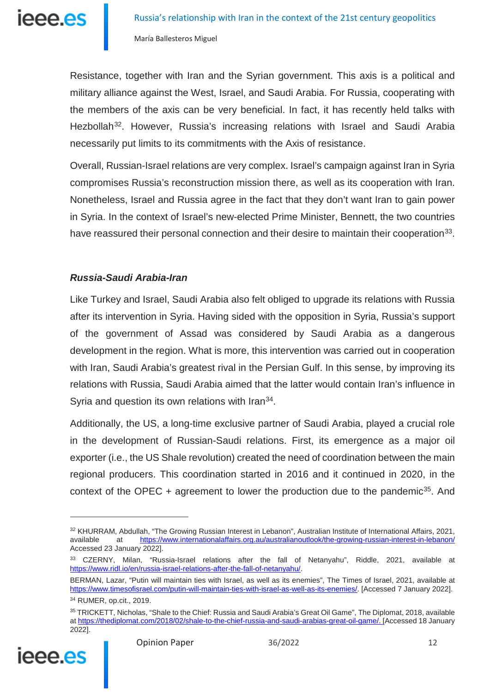Resistance, together with Iran and the Syrian government. This axis is a political and military alliance against the West, Israel, and Saudi Arabia. For Russia, cooperating with the members of the axis can be very beneficial. In fact, it has recently held talks with Hezbollah<sup>32</sup>. However, Russia's increasing relations with Israel and Saudi Arabia necessarily put limits to its commitments with the Axis of resistance.

Overall, Russian-Israel relations are very complex. Israel's campaign against Iran in Syria compromises Russia's reconstruction mission there, as well as its cooperation with Iran. Nonetheless, Israel and Russia agree in the fact that they don't want Iran to gain power in Syria. In the context of Israel's new-elected Prime Minister, Bennett, the two countries have reassured their personal connection and their desire to maintain their cooperation<sup>33</sup>.

## *Russia-Saudi Arabia-Iran*

Like Turkey and Israel, Saudi Arabia also felt obliged to upgrade its relations with Russia after its intervention in Syria. Having sided with the opposition in Syria, Russia's support of the government of Assad was considered by Saudi Arabia as a dangerous development in the region. What is more, this intervention was carried out in cooperation with Iran, Saudi Arabia's greatest rival in the Persian Gulf. In this sense, by improving its relations with Russia, Saudi Arabia aimed that the latter would contain Iran's influence in Syria and question its own relations with Iran<sup>34</sup>.

Additionally, the US, a long-time exclusive partner of Saudi Arabia, played a crucial role in the development of Russian-Saudi relations. First, its emergence as a major oil exporter (i.e., the US Shale revolution) created the need of coordination between the main regional producers. This coordination started in 2016 and it continued in 2020, in the context of the OPEC  $+$  agreement to lower the production due to the pandemic<sup>35</sup>. And

<span id="page-11-3"></span><span id="page-11-2"></span><span id="page-11-1"></span><sup>35</sup> TRICKETT, Nicholas, "Shale to the Chief: Russia and Saudi Arabia's Great Oil Game", The Diplomat, 2018, available a[t https://thediplomat.com/2018/02/shale-to-the-chief-russia-and-saudi-arabias-great-oil-game/.](https://thediplomat.com/2018/02/shale-to-the-chief-russia-and-saudi-arabias-great-oil-game/) [Accessed 18 January 2022].



<span id="page-11-0"></span><sup>32</sup> KHURRAM, Abdullah, "The Growing Russian Interest in Lebanon", Australian Institute of International Affairs, 2021, available at <https://www.internationalaffairs.org.au/australianoutlook/the-growing-russian-interest-in-lebanon/> Accessed 23 January 2022].

<sup>33</sup> CZERNY, Milan, "Russia-Israel relations after the fall of Netanyahu", Riddle, 2021, available at [https://www.ridl.io/en/russia-israel-relations-after-the-fall-of-netanyahu/.](https://www.ridl.io/en/russia-israel-relations-after-the-fall-of-netanyahu/)

BERMAN, Lazar, "Putin will maintain ties with Israel, as well as its enemies", The Times of Israel, 2021, available at [https://www.timesofisrael.com/putin-will-maintain-ties-with-israel-as-well-as-its-enemies/.](https://www.timesofisrael.com/putin-will-maintain-ties-with-israel-as-well-as-its-enemies/) [Accessed 7 January 2022].

<sup>34</sup> RUMER, op.cit., 2019.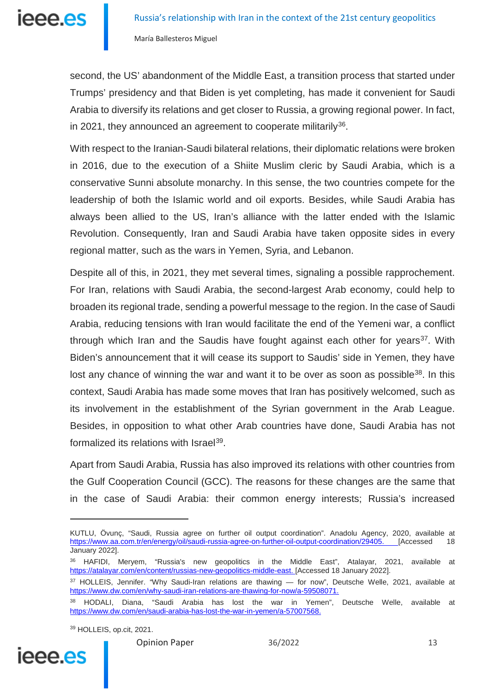

second, the US' abandonment of the Middle East, a transition process that started under Trumps' presidency and that Biden is yet completing, has made it convenient for Saudi Arabia to diversify its relations and get closer to Russia, a growing regional power. In fact, in 2021, they announced an agreement to cooperate militarily  $36$ .

With respect to the Iranian-Saudi bilateral relations, their diplomatic relations were broken in 2016, due to the execution of a Shiite Muslim cleric by Saudi Arabia, which is a conservative Sunni absolute monarchy. In this sense, the two countries compete for the leadership of both the Islamic world and oil exports. Besides, while Saudi Arabia has always been allied to the US, Iran's alliance with the latter ended with the Islamic Revolution. Consequently, Iran and Saudi Arabia have taken opposite sides in every regional matter, such as the wars in Yemen, Syria, and Lebanon.

Despite all of this, in 2021, they met several times, signaling a possible rapprochement. For Iran, relations with Saudi Arabia, the second-largest Arab economy, could help to broaden its regional trade, sending a powerful message to the region. In the case of Saudi Arabia, reducing tensions with Iran would facilitate the end of the Yemeni war, a conflict through which Iran and the Saudis have fought against each other for years<sup>[37](#page-12-1)</sup>. With Biden's announcement that it will cease its support to Saudis' side in Yemen, they have lost any chance of winning the war and want it to be over as soon as possible<sup>[38](#page-12-2)</sup>. In this context, Saudi Arabia has made some moves that Iran has positively welcomed, such as its involvement in the establishment of the Syrian government in the Arab League. Besides, in opposition to what other Arab countries have done, Saudi Arabia has not formalized its relations with Israel<sup>[39](#page-12-3)</sup>.

Apart from Saudi Arabia, Russia has also improved its relations with other countries from the Gulf Cooperation Council (GCC). The reasons for these changes are the same that in the case of Saudi Arabia: their common energy interests; Russia's increased

<sup>39</sup> HOLLEIS, op.cit, 2021.

<span id="page-12-3"></span><span id="page-12-2"></span><span id="page-12-1"></span>

KUTLU, Övunç, "Saudi, Russia agree on further oil output coordination". Anadolu Agency, 2020, available at [https://www.aa.com.tr/en/energy/oil/saudi-russia-agree-on-further-oil-output-coordination/29405.](https://www.aa.com.tr/en/energy/oil/saudi-russia-agree-on-further-oil-output-coordination/29405) [Accessed 18 January 2022].

<span id="page-12-0"></span><sup>&</sup>lt;sup>36</sup> HAFIDI, Meryem, "Russia's new geopolitics in the Middle East", Atalayar, 2021, available at [https://atalayar.com/en/content/russias-new-geopolitics-middle-east.](https://atalayar.com/en/content/russias-new-geopolitics-middle-east) [Accessed 18 January 2022].

<sup>37</sup> HOLLEIS, Jennifer. "Why Saudi-Iran relations are thawing - for now", Deutsche Welle, 2021, available at [https://www.dw.com/en/why-saudi-iran-relations-are-thawing-for-now/a-59508071.](https://www.dw.com/en/why-saudi-iran-relations-are-thawing-for-now/a-59508071)

<sup>38</sup> HODALI, Diana, "Saudi Arabia has lost the war in Yemen", Deutsche Welle, available at [https://www.dw.com/en/saudi-arabia-has-lost-the-war-in-yemen/a-57007568.](https://www.dw.com/en/saudi-arabia-has-lost-the-war-in-yemen/a-57007568)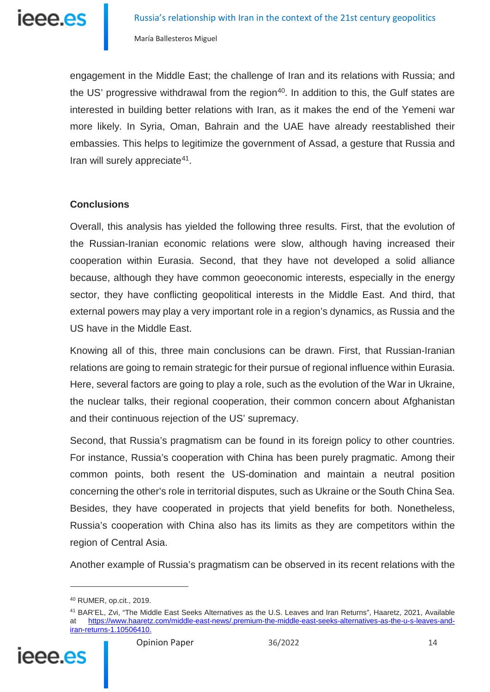engagement in the Middle East; the challenge of Iran and its relations with Russia; and the US' progressive withdrawal from the region<sup>40</sup>. In addition to this, the Gulf states are interested in building better relations with Iran, as it makes the end of the Yemeni war more likely. In Syria, Oman, Bahrain and the UAE have already reestablished their embassies. This helps to legitimize the government of Assad, a gesture that Russia and Iran will surely appreciate<sup>41</sup>.

## **Conclusions**

Overall, this analysis has yielded the following three results. First, that the evolution of the Russian-Iranian economic relations were slow, although having increased their cooperation within Eurasia. Second, that they have not developed a solid alliance because, although they have common geoeconomic interests, especially in the energy sector, they have conflicting geopolitical interests in the Middle East. And third, that external powers may play a very important role in a region's dynamics, as Russia and the US have in the Middle East.

Knowing all of this, three main conclusions can be drawn. First, that Russian-Iranian relations are going to remain strategic for their pursue of regional influence within Eurasia. Here, several factors are going to play a role, such as the evolution of the War in Ukraine, the nuclear talks, their regional cooperation, their common concern about Afghanistan and their continuous rejection of the US' supremacy.

Second, that Russia's pragmatism can be found in its foreign policy to other countries. For instance, Russia's cooperation with China has been purely pragmatic. Among their common points, both resent the US-domination and maintain a neutral position concerning the other's role in territorial disputes, such as Ukraine or the South China Sea. Besides, they have cooperated in projects that yield benefits for both. Nonetheless, Russia's cooperation with China also has its limits as they are competitors within the region of Central Asia.

Another example of Russia's pragmatism can be observed in its recent relations with the

<span id="page-13-1"></span><span id="page-13-0"></span><sup>41</sup> BAR'EL, Zvi, "The Middle East Seeks Alternatives as the U.S. Leaves and Iran Returns", Haaretz, 2021, Available at [https://www.haaretz.com/middle-east-news/.premium-the-middle-east-seeks-alternatives-as-the-u-s-leaves-and](https://www.haaretz.com/middle-east-news/.premium-the-middle-east-seeks-alternatives-as-the-u-s-leaves-and-iran-returns-1.10506410)[iran-returns-1.10506410.](https://www.haaretz.com/middle-east-news/.premium-the-middle-east-seeks-alternatives-as-the-u-s-leaves-and-iran-returns-1.10506410)



<u>.</u>

<sup>40</sup> RUMER, op.cit., 2019.